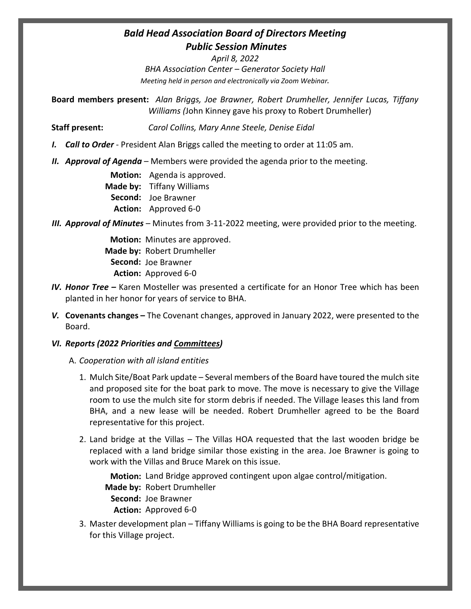## *Bald Head Association Board of Directors Meeting Public Session Minutes*

*April 8, 2022 BHA Association Center – Generator Society Hall Meeting held in person and electronically via Zoom Webinar.*

**Board members present:** *Alan Briggs, Joe Brawner, Robert Drumheller, Jennifer Lucas, Tiffany Williams (*John Kinney gave his proxy to Robert Drumheller)

**Staff present:** *Carol Collins, Mary Anne Steele, Denise Eidal*

- *I. Call to Order* President Alan Briggs called the meeting to order at 11:05 am.
- *II. Approval of Agenda* Members were provided the agenda prior to the meeting.

**Motion:** Agenda is approved. **Made by:** Tiffany Williams **Second:**  Joe Brawner **Action:** Approved 6-0

*III. Approval of Minutes* – Minutes from 3-11-2022 meeting, were provided prior to the meeting.

**Motion:** Minutes are approved. **Made by:** Robert Drumheller **Second:**  Joe Brawner **Action:** Approved 6-0

- *IV. Honor Tree* Karen Mosteller was presented a certificate for an Honor Tree which has been planted in her honor for years of service to BHA.
- *V.* **Covenants changes** The Covenant changes, approved in January 2022, were presented to the Board.

## *VI. Reports (2022 Priorities and Committees)*

- A. *Cooperation with all island entities*
	- 1. Mulch Site/Boat Park update Several members of the Board have toured the mulch site and proposed site for the boat park to move. The move is necessary to give the Village room to use the mulch site for storm debris if needed. The Village leases this land from BHA, and a new lease will be needed. Robert Drumheller agreed to be the Board representative for this project.
	- 2. Land bridge at the Villas The Villas HOA requested that the last wooden bridge be replaced with a land bridge similar those existing in the area. Joe Brawner is going to work with the Villas and Bruce Marek on this issue.

**Motion:** Land Bridge approved contingent upon algae control/mitigation.

**Made by:** Robert Drumheller

**Second:**  Joe Brawner **Action:** Approved 6-0

3. Master development plan – Tiffany Williams is going to be the BHA Board representative for this Village project.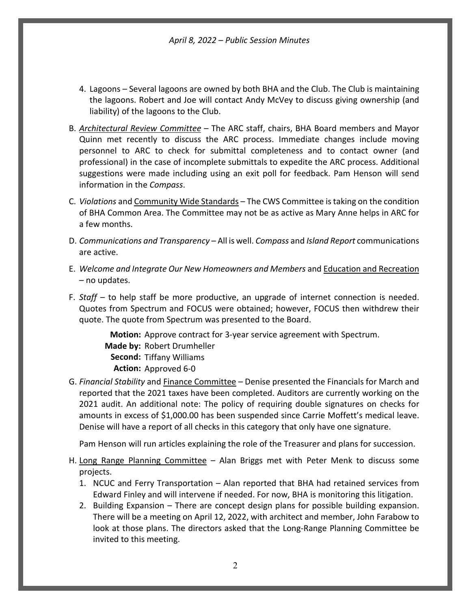*April 8, 2022 – Public Session Minutes*

- 4. Lagoons Several lagoons are owned by both BHA and the Club. The Club is maintaining the lagoons. Robert and Joe will contact Andy McVey to discuss giving ownership (and liability) of the lagoons to the Club.
- B. *Architectural Review Committee* The ARC staff, chairs, BHA Board members and Mayor Quinn met recently to discuss the ARC process. Immediate changes include moving personnel to ARC to check for submittal completeness and to contact owner (and professional) in the case of incomplete submittals to expedite the ARC process. Additional suggestions were made including using an exit poll for feedback. Pam Henson will send information in the *Compass*.
- C. *Violations* and Community Wide Standards The CWS Committee is taking on the condition of BHA Common Area. The Committee may not be as active as Mary Anne helps in ARC for a few months.
- D. *Communications and Transparency* All is well. *Compass* and *Island Report* communications are active.
- E. *Welcome and Integrate Our New Homeowners and Members* and Education and Recreation – no updates.
- F. *Staff* to help staff be more productive, an upgrade of internet connection is needed. Quotes from Spectrum and FOCUS were obtained; however, FOCUS then withdrew their quote. The quote from Spectrum was presented to the Board.

Motion: Approve contract for 3-year service agreement with Spectrum. Made by: Robert Drumheller Second: Tiffany Williams Action: Approved 6-0

G. *Financial Stability* and Finance Committee – Denise presented the Financials for March and reported that the 2021 taxes have been completed. Auditors are currently working on the 2021 audit. An additional note: The policy of requiring double signatures on checks for amounts in excess of \$1,000.00 has been suspended since Carrie Moffett's medical leave. Denise will have a report of all checks in this category that only have one signature.

Pam Henson will run articles explaining the role of the Treasurer and plans for succession.

- H. Long Range Planning Committee Alan Briggs met with Peter Menk to discuss some projects.
	- 1. NCUC and Ferry Transportation Alan reported that BHA had retained services from Edward Finley and will intervene if needed. For now, BHA is monitoring this litigation.
	- 2. Building Expansion There are concept design plans for possible building expansion. There will be a meeting on April 12, 2022, with architect and member, John Farabow to look at those plans. The directors asked that the Long-Range Planning Committee be invited to this meeting.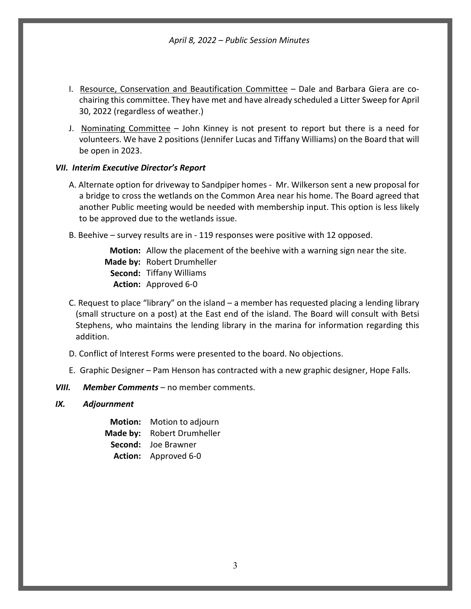*April 8, 2022 – Public Session Minutes*

- I. Resource, Conservation and Beautification Committee Dale and Barbara Giera are cochairing this committee. They have met and have already scheduled a Litter Sweep for April 30, 2022 (regardless of weather.)
- J. Nominating Committee John Kinney is not present to report but there is a need for volunteers. We have 2 positions (Jennifer Lucas and Tiffany Williams) on the Board that will be open in 2023.

## *VII. Interim Executive Director's Report*

- A. Alternate option for driveway to Sandpiper homes Mr. Wilkerson sent a new proposal for a bridge to cross the wetlands on the Common Area near his home. The Board agreed that another Public meeting would be needed with membership input. This option is less likely to be approved due to the wetlands issue.
- B. Beehive survey results are in 119 responses were positive with 12 opposed.

**Motion:** Allow the placement of the beehive with a warning sign near the site. **Made by:** Robert Drumheller **Second:**  Tiffany Williams **Action:** Approved 6-0

- C. Request to place "library" on the island a member has requested placing a lending library (small structure on a post) at the East end of the island. The Board will consult with Betsi Stephens, who maintains the lending library in the marina for information regarding this addition.
- D. Conflict of Interest Forms were presented to the board. No objections.
- E. Graphic Designer Pam Henson has contracted with a new graphic designer, Hope Falls.
- *VIII. Member Comments* no member comments.
- *IX. Adjournment*
	- **Motion:** Motion to adjourn **Made by:** Robert Drumheller **Second:**  Joe Brawner **Action:** Approved 6-0